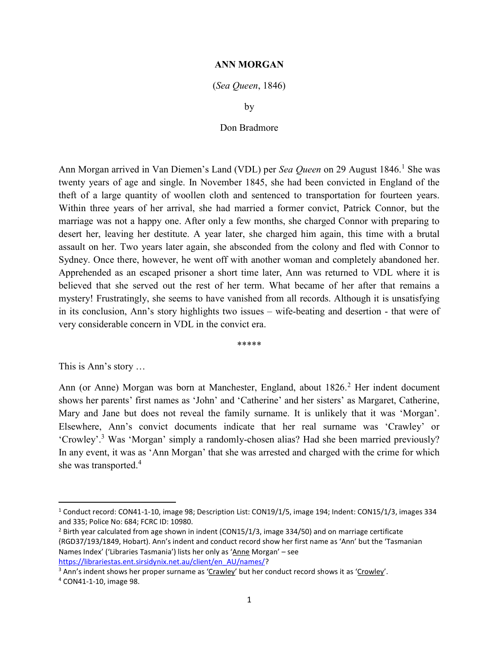## ANN MORGAN

## (Sea Queen, 1846)

by

## Don Bradmore

Ann Morgan arrived in Van Diemen's Land (VDL) per Sea Queen on 29 August 1846.<sup>1</sup> She was twenty years of age and single. In November 1845, she had been convicted in England of the theft of a large quantity of woollen cloth and sentenced to transportation for fourteen years. Within three years of her arrival, she had married a former convict, Patrick Connor, but the marriage was not a happy one. After only a few months, she charged Connor with preparing to desert her, leaving her destitute. A year later, she charged him again, this time with a brutal assault on her. Two years later again, she absconded from the colony and fled with Connor to Sydney. Once there, however, he went off with another woman and completely abandoned her. Apprehended as an escaped prisoner a short time later, Ann was returned to VDL where it is believed that she served out the rest of her term. What became of her after that remains a mystery! Frustratingly, she seems to have vanished from all records. Although it is unsatisfying in its conclusion, Ann's story highlights two issues – wife-beating and desertion - that were of very considerable concern in VDL in the convict era.

\*\*\*\*\*

This is Ann's story …

Ann (or Anne) Morgan was born at Manchester, England, about 1826.<sup>2</sup> Her indent document shows her parents' first names as 'John' and 'Catherine' and her sisters' as Margaret, Catherine, Mary and Jane but does not reveal the family surname. It is unlikely that it was 'Morgan'. Elsewhere, Ann's convict documents indicate that her real surname was 'Crawley' or 'Crowley'.<sup>3</sup> Was 'Morgan' simply a randomly-chosen alias? Had she been married previously? In any event, it was as 'Ann Morgan' that she was arrested and charged with the crime for which she was transported.<sup>4</sup>

<sup>1</sup> Conduct record: CON41-1-10, image 98; Description List: CON19/1/5, image 194; Indent: CON15/1/3, images 334 and 335; Police No: 684; FCRC ID: 10980.

<sup>&</sup>lt;sup>2</sup> Birth year calculated from age shown in indent (CON15/1/3, image 334/50) and on marriage certificate (RGD37/193/1849, Hobart). Ann's indent and conduct record show her first name as 'Ann' but the 'Tasmanian Names Index' ('Libraries Tasmania') lists her only as 'Anne Morgan' – see https://librariestas.ent.sirsidynix.net.au/client/en\_AU/names/?

<sup>&</sup>lt;sup>3</sup> Ann's indent shows her proper surname as 'Crawley' but her conduct record shows it as 'Crowley'.

<sup>4</sup> CON41-1-10, image 98.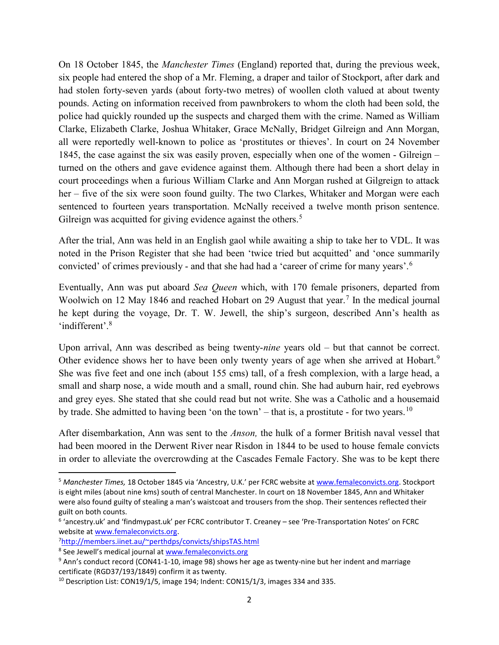On 18 October 1845, the Manchester Times (England) reported that, during the previous week, six people had entered the shop of a Mr. Fleming, a draper and tailor of Stockport, after dark and had stolen forty-seven yards (about forty-two metres) of woollen cloth valued at about twenty pounds. Acting on information received from pawnbrokers to whom the cloth had been sold, the police had quickly rounded up the suspects and charged them with the crime. Named as William Clarke, Elizabeth Clarke, Joshua Whitaker, Grace McNally, Bridget Gilreign and Ann Morgan, all were reportedly well-known to police as 'prostitutes or thieves'. In court on 24 November 1845, the case against the six was easily proven, especially when one of the women - Gilreign – turned on the others and gave evidence against them. Although there had been a short delay in court proceedings when a furious William Clarke and Ann Morgan rushed at Gilgreign to attack her – five of the six were soon found guilty. The two Clarkes, Whitaker and Morgan were each sentenced to fourteen years transportation. McNally received a twelve month prison sentence. Gilreign was acquitted for giving evidence against the others.<sup>5</sup>

After the trial, Ann was held in an English gaol while awaiting a ship to take her to VDL. It was noted in the Prison Register that she had been 'twice tried but acquitted' and 'once summarily convicted' of crimes previously - and that she had had a 'career of crime for many years'.<sup>6</sup>

Eventually, Ann was put aboard *Sea Queen* which, with 170 female prisoners, departed from Woolwich on 12 May 1846 and reached Hobart on 29 August that year.<sup>7</sup> In the medical journal he kept during the voyage, Dr. T. W. Jewell, the ship's surgeon, described Ann's health as 'indifferent'.<sup>8</sup>

Upon arrival, Ann was described as being twenty-nine years old – but that cannot be correct. Other evidence shows her to have been only twenty years of age when she arrived at Hobart.<sup>9</sup> She was five feet and one inch (about 155 cms) tall, of a fresh complexion, with a large head, a small and sharp nose, a wide mouth and a small, round chin. She had auburn hair, red eyebrows and grey eyes. She stated that she could read but not write. She was a Catholic and a housemaid by trade. She admitted to having been 'on the town' – that is, a prostitute - for two years.<sup>10</sup>

After disembarkation, Ann was sent to the Anson, the hulk of a former British naval vessel that had been moored in the Derwent River near Risdon in 1844 to be used to house female convicts in order to alleviate the overcrowding at the Cascades Female Factory. She was to be kept there

 $\overline{a}$ 

<sup>5</sup> Manchester Times, 18 October 1845 via 'Ancestry, U.K.' per FCRC website at www.femaleconvicts.org. Stockport is eight miles (about nine kms) south of central Manchester. In court on 18 November 1845, Ann and Whitaker were also found guilty of stealing a man's waistcoat and trousers from the shop. Their sentences reflected their guilt on both counts.

<sup>&</sup>lt;sup>6</sup> 'ancestry.uk' and 'findmypast.uk' per FCRC contributor T. Creaney – see 'Pre-Transportation Notes' on FCRC website at www.femaleconvicts.org.

<sup>7</sup>http://members.iinet.au/~perthdps/convicts/shipsTAS.html

<sup>&</sup>lt;sup>8</sup> See Jewell's medical journal at www.femaleconvicts.org

<sup>&</sup>lt;sup>9</sup> Ann's conduct record (CON41-1-10, image 98) shows her age as twenty-nine but her indent and marriage certificate (RGD37/193/1849) confirm it as twenty.

 $10$  Description List: CON19/1/5, image 194; Indent: CON15/1/3, images 334 and 335.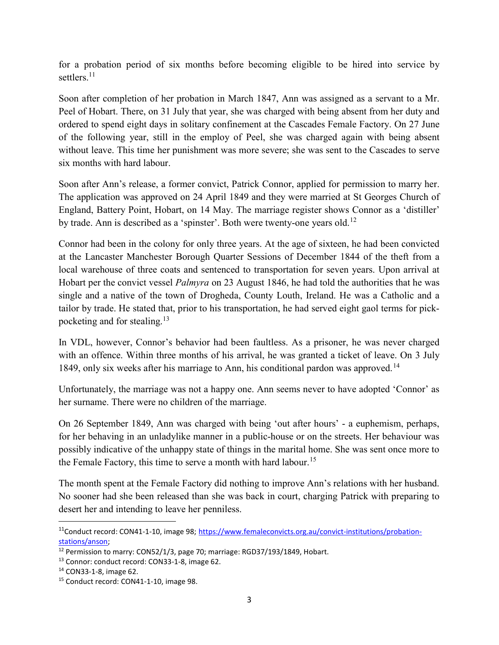for a probation period of six months before becoming eligible to be hired into service by settlers.<sup>11</sup>

Soon after completion of her probation in March 1847, Ann was assigned as a servant to a Mr. Peel of Hobart. There, on 31 July that year, she was charged with being absent from her duty and ordered to spend eight days in solitary confinement at the Cascades Female Factory. On 27 June of the following year, still in the employ of Peel, she was charged again with being absent without leave. This time her punishment was more severe; she was sent to the Cascades to serve six months with hard labour.

Soon after Ann's release, a former convict, Patrick Connor, applied for permission to marry her. The application was approved on 24 April 1849 and they were married at St Georges Church of England, Battery Point, Hobart, on 14 May. The marriage register shows Connor as a 'distiller' by trade. Ann is described as a 'spinster'. Both were twenty-one years old.<sup>12</sup>

Connor had been in the colony for only three years. At the age of sixteen, he had been convicted at the Lancaster Manchester Borough Quarter Sessions of December 1844 of the theft from a local warehouse of three coats and sentenced to transportation for seven years. Upon arrival at Hobart per the convict vessel *Palmyra* on 23 August 1846, he had told the authorities that he was single and a native of the town of Drogheda, County Louth, Ireland. He was a Catholic and a tailor by trade. He stated that, prior to his transportation, he had served eight gaol terms for pickpocketing and for stealing.<sup>13</sup>

In VDL, however, Connor's behavior had been faultless. As a prisoner, he was never charged with an offence. Within three months of his arrival, he was granted a ticket of leave. On 3 July 1849, only six weeks after his marriage to Ann, his conditional pardon was approved.<sup>14</sup>

Unfortunately, the marriage was not a happy one. Ann seems never to have adopted 'Connor' as her surname. There were no children of the marriage.

On 26 September 1849, Ann was charged with being 'out after hours' - a euphemism, perhaps, for her behaving in an unladylike manner in a public-house or on the streets. Her behaviour was possibly indicative of the unhappy state of things in the marital home. She was sent once more to the Female Factory, this time to serve a month with hard labour.<sup>15</sup>

The month spent at the Female Factory did nothing to improve Ann's relations with her husband. No sooner had she been released than she was back in court, charging Patrick with preparing to desert her and intending to leave her penniless.

<sup>&</sup>lt;sup>11</sup>Conduct record: CON41-1-10, image 98; https://www.femaleconvicts.org.au/convict-institutions/probationstations/anson;

<sup>&</sup>lt;sup>12</sup> Permission to marry: CON52/1/3, page 70; marriage: RGD37/193/1849, Hobart.

<sup>13</sup> Connor: conduct record: CON33-1-8, image 62.

<sup>14</sup> CON33-1-8, image 62.

<sup>15</sup> Conduct record: CON41-1-10, image 98.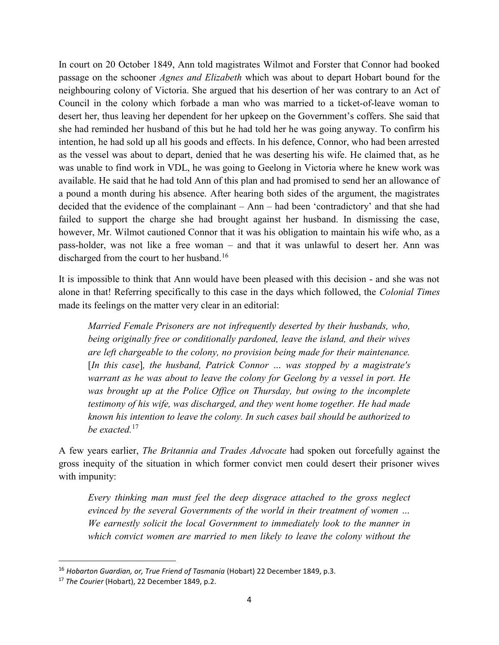In court on 20 October 1849, Ann told magistrates Wilmot and Forster that Connor had booked passage on the schooner Agnes and Elizabeth which was about to depart Hobart bound for the neighbouring colony of Victoria. She argued that his desertion of her was contrary to an Act of Council in the colony which forbade a man who was married to a ticket-of-leave woman to desert her, thus leaving her dependent for her upkeep on the Government's coffers. She said that she had reminded her husband of this but he had told her he was going anyway. To confirm his intention, he had sold up all his goods and effects. In his defence, Connor, who had been arrested as the vessel was about to depart, denied that he was deserting his wife. He claimed that, as he was unable to find work in VDL, he was going to Geelong in Victoria where he knew work was available. He said that he had told Ann of this plan and had promised to send her an allowance of a pound a month during his absence. After hearing both sides of the argument, the magistrates decided that the evidence of the complainant – Ann – had been 'contradictory' and that she had failed to support the charge she had brought against her husband. In dismissing the case, however, Mr. Wilmot cautioned Connor that it was his obligation to maintain his wife who, as a pass-holder, was not like a free woman – and that it was unlawful to desert her. Ann was discharged from the court to her husband.<sup>16</sup>

It is impossible to think that Ann would have been pleased with this decision - and she was not alone in that! Referring specifically to this case in the days which followed, the Colonial Times made its feelings on the matter very clear in an editorial:

Married Female Prisoners are not infrequently deserted by their husbands, who, being originally free or conditionally pardoned, leave the island, and their wives are left chargeable to the colony, no provision being made for their maintenance. [In this case], the husband, Patrick Connor ... was stopped by a magistrate's warrant as he was about to leave the colony for Geelong by a vessel in port. He was brought up at the Police Office on Thursday, but owing to the incomplete testimony of his wife, was discharged, and they went home together. He had made known his intention to leave the colony. In such cases bail should be authorized to be exacted.<sup>17</sup>

A few years earlier, The Britannia and Trades Advocate had spoken out forcefully against the gross inequity of the situation in which former convict men could desert their prisoner wives with impunity:

Every thinking man must feel the deep disgrace attached to the gross neglect evinced by the several Governments of the world in their treatment of women … We earnestly solicit the local Government to immediately look to the manner in which convict women are married to men likely to leave the colony without the

<sup>&</sup>lt;sup>16</sup> Hobarton Guardian, or, True Friend of Tasmania (Hobart) 22 December 1849, p.3.

<sup>&</sup>lt;sup>17</sup> The Courier (Hobart), 22 December 1849, p.2.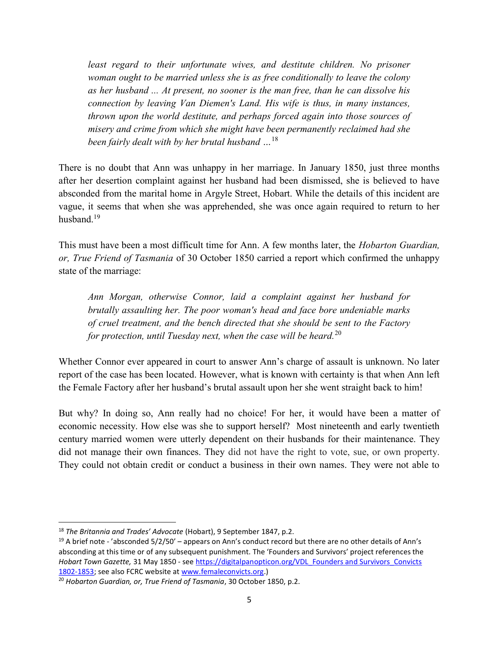least regard to their unfortunate wives, and destitute children. No prisoner woman ought to be married unless she is as free conditionally to leave the colony as her husband ... At present, no sooner is the man free, than he can dissolve his connection by leaving Van Diemen's Land. His wife is thus, in many instances, thrown upon the world destitute, and perhaps forced again into those sources of misery and crime from which she might have been permanently reclaimed had she been fairly dealt with by her brutal husband  $\ldots$ <sup>18</sup>

There is no doubt that Ann was unhappy in her marriage. In January 1850, just three months after her desertion complaint against her husband had been dismissed, she is believed to have absconded from the marital home in Argyle Street, Hobart. While the details of this incident are vague, it seems that when she was apprehended, she was once again required to return to her husband.<sup>19</sup>

This must have been a most difficult time for Ann. A few months later, the *Hobarton Guardian*, or, True Friend of Tasmania of 30 October 1850 carried a report which confirmed the unhappy state of the marriage:

Ann Morgan, otherwise Connor, laid a complaint against her husband for brutally assaulting her. The poor woman's head and face bore undeniable marks of cruel treatment, and the bench directed that she should be sent to the Factory for protection, until Tuesday next, when the case will be heard.<sup>20</sup>

Whether Connor ever appeared in court to answer Ann's charge of assault is unknown. No later report of the case has been located. However, what is known with certainty is that when Ann left the Female Factory after her husband's brutal assault upon her she went straight back to him!

But why? In doing so, Ann really had no choice! For her, it would have been a matter of economic necessity. How else was she to support herself? Most nineteenth and early twentieth century married women were utterly dependent on their husbands for their maintenance. They did not manage their own finances. They did not have the right to vote, sue, or own property. They could not obtain credit or conduct a business in their own names. They were not able to

<sup>&</sup>lt;sup>18</sup> The Britannia and Trades' Advocate (Hobart), 9 September 1847, p.2.

<sup>&</sup>lt;sup>19</sup> A brief note - 'absconded 5/2/50' – appears on Ann's conduct record but there are no other details of Ann's absconding at this time or of any subsequent punishment. The 'Founders and Survivors' project references the Hobart Town Gazette, 31 May 1850 - see https://digitalpanopticon.org/VDL Founders and Survivors Convicts 1802-1853; see also FCRC website at www.femaleconvicts.org.)

<sup>&</sup>lt;sup>20</sup> Hobarton Guardian, or, True Friend of Tasmania, 30 October 1850, p.2.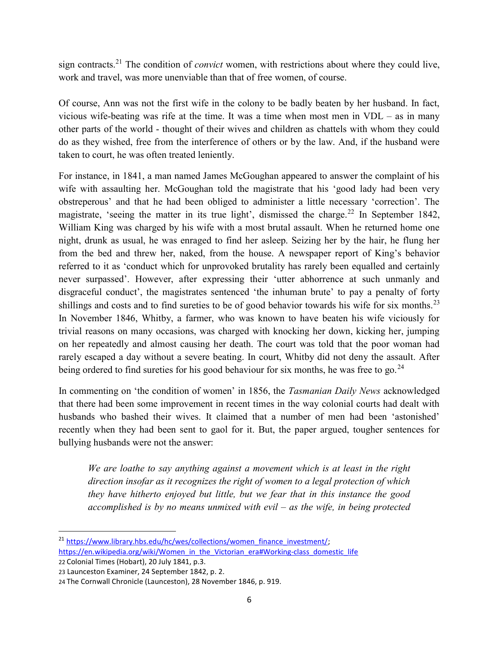sign contracts.<sup>21</sup> The condition of *convict* women, with restrictions about where they could live, work and travel, was more unenviable than that of free women, of course.

Of course, Ann was not the first wife in the colony to be badly beaten by her husband. In fact, vicious wife-beating was rife at the time. It was a time when most men in VDL – as in many other parts of the world - thought of their wives and children as chattels with whom they could do as they wished, free from the interference of others or by the law. And, if the husband were taken to court, he was often treated leniently.

For instance, in 1841, a man named James McGoughan appeared to answer the complaint of his wife with assaulting her. McGoughan told the magistrate that his 'good lady had been very obstreperous' and that he had been obliged to administer a little necessary 'correction'. The magistrate, 'seeing the matter in its true light', dismissed the charge.<sup>22</sup> In September 1842, William King was charged by his wife with a most brutal assault. When he returned home one night, drunk as usual, he was enraged to find her asleep. Seizing her by the hair, he flung her from the bed and threw her, naked, from the house. A newspaper report of King's behavior referred to it as 'conduct which for unprovoked brutality has rarely been equalled and certainly never surpassed'. However, after expressing their 'utter abhorrence at such unmanly and disgraceful conduct', the magistrates sentenced 'the inhuman brute' to pay a penalty of forty shillings and costs and to find sureties to be of good behavior towards his wife for six months.<sup>23</sup> In November 1846, Whitby, a farmer, who was known to have beaten his wife viciously for trivial reasons on many occasions, was charged with knocking her down, kicking her, jumping on her repeatedly and almost causing her death. The court was told that the poor woman had rarely escaped a day without a severe beating. In court, Whitby did not deny the assault. After being ordered to find sureties for his good behaviour for six months, he was free to go.<sup>24</sup>

In commenting on 'the condition of women' in 1856, the Tasmanian Daily News acknowledged that there had been some improvement in recent times in the way colonial courts had dealt with husbands who bashed their wives. It claimed that a number of men had been 'astonished' recently when they had been sent to gaol for it. But, the paper argued, tougher sentences for bullying husbands were not the answer:

We are loathe to say anything against a movement which is at least in the right direction insofar as it recognizes the right of women to a legal protection of which they have hitherto enjoyed but little, but we fear that in this instance the good accomplished is by no means unmixed with evil – as the wife, in being protected

22 Colonial Times (Hobart), 20 July 1841, p.3.

 $\overline{a}$ 

<sup>&</sup>lt;sup>21</sup> https://www.library.hbs.edu/hc/wes/collections/women\_finance\_investment/; https://en.wikipedia.org/wiki/Women\_in\_the\_Victorian\_era#Working-class\_domestic\_life

<sup>23</sup> Launceston Examiner, 24 September 1842, p. 2.

<sup>24</sup> The Cornwall Chronicle (Launceston), 28 November 1846, p. 919.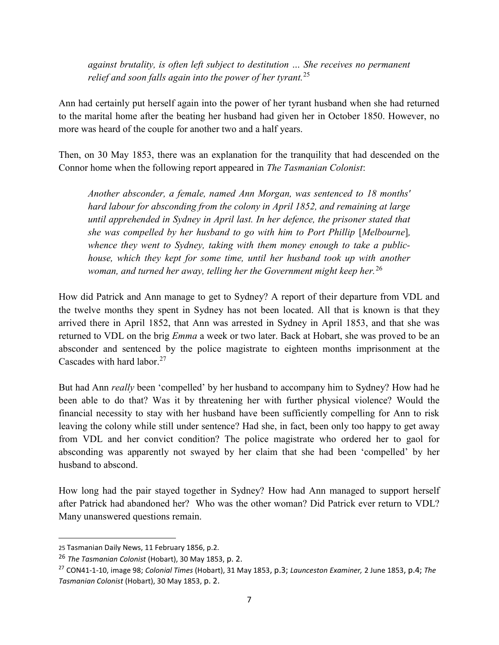against brutality, is often left subject to destitution … She receives no permanent relief and soon falls again into the power of her tyrant.<sup>25</sup>

Ann had certainly put herself again into the power of her tyrant husband when she had returned to the marital home after the beating her husband had given her in October 1850. However, no more was heard of the couple for another two and a half years.

Then, on 30 May 1853, there was an explanation for the tranquility that had descended on the Connor home when the following report appeared in The Tasmanian Colonist:

Another absconder, a female, named Ann Morgan, was sentenced to 18 months' hard labour for absconding from the colony in April 1852, and remaining at large until apprehended in Sydney in April last. In her defence, the prisoner stated that she was compelled by her husband to go with him to Port Phillip [Melbourne], whence they went to Sydney, taking with them money enough to take a publichouse, which they kept for some time, until her husband took up with another woman, and turned her away, telling her the Government might keep her.<sup>26</sup>

How did Patrick and Ann manage to get to Sydney? A report of their departure from VDL and the twelve months they spent in Sydney has not been located. All that is known is that they arrived there in April 1852, that Ann was arrested in Sydney in April 1853, and that she was returned to VDL on the brig *Emma* a week or two later. Back at Hobart, she was proved to be an absconder and sentenced by the police magistrate to eighteen months imprisonment at the Cascades with hard labor.<sup>27</sup>

But had Ann really been 'compelled' by her husband to accompany him to Sydney? How had he been able to do that? Was it by threatening her with further physical violence? Would the financial necessity to stay with her husband have been sufficiently compelling for Ann to risk leaving the colony while still under sentence? Had she, in fact, been only too happy to get away from VDL and her convict condition? The police magistrate who ordered her to gaol for absconding was apparently not swayed by her claim that she had been 'compelled' by her husband to abscond.

How long had the pair stayed together in Sydney? How had Ann managed to support herself after Patrick had abandoned her? Who was the other woman? Did Patrick ever return to VDL? Many unanswered questions remain.

 $\overline{a}$ 

<sup>25</sup> Tasmanian Daily News, 11 February 1856, p.2.

<sup>&</sup>lt;sup>26</sup> The Tasmanian Colonist (Hobart), 30 May 1853, p. 2.

<sup>&</sup>lt;sup>27</sup> CON41-1-10, image 98; Colonial Times (Hobart), 31 May 1853, p.3; Launceston Examiner, 2 June 1853, p.4; The Tasmanian Colonist (Hobart), 30 May 1853, p. 2.